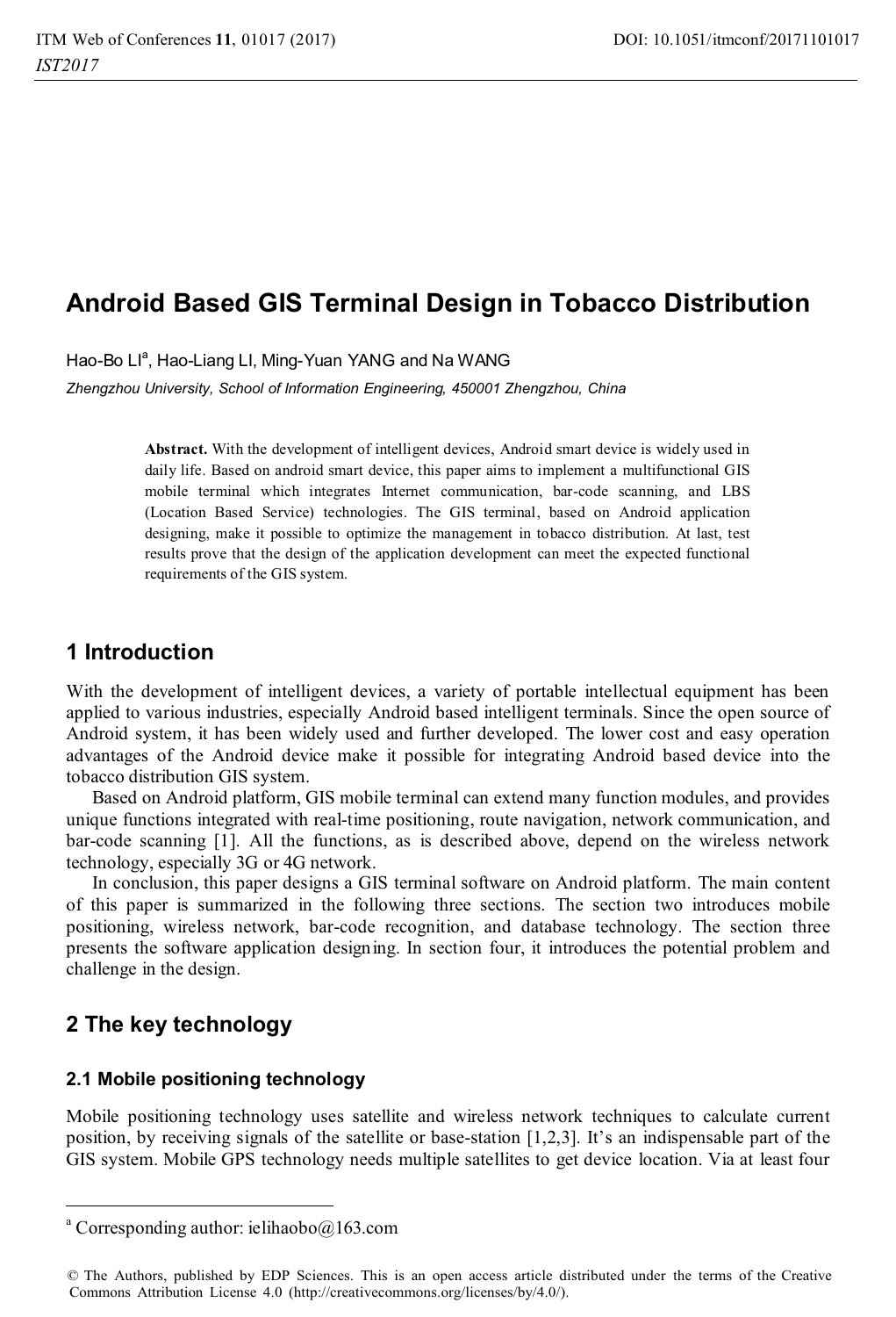# **Android Based GIS Terminal Design in Tobacco Distribution**

Hao-Bo Ll<sup>a</sup>, Hao-Liang LI, Ming-Yuan YANG and Na WANG

*Zhengzhou University, School of Information Engineering, 450001 Zhengzhou, China* 

**Abstract.** With the development of intelligent devices, Android smart device is widely used in daily life. Based on android smart device, this paper aims to implement a multifunctional GIS mobile terminal which integrates Internet communication, bar-code scanning, and LBS (Location Based Service) technologies. The GIS terminal, based on Android application designing, make it possible to optimize the management in tobacco distribution. At last, test results prove that the design of the application development can meet the expected functional requirements of the GIS system.

### **1 Introduction**

With the development of intelligent devices, a variety of portable intellectual equipment has been applied to various industries, especially Android based intelligent terminals. Since the open source of Android system, it has been widely used and further developed. The lower cost and easy operation advantages of the Android device make it possible for integrating Android based device into the tobacco distribution GIS system.

Based on Android platform, GIS mobile terminal can extend many function modules, and provides unique functions integrated with real-time positioning, route navigation, network communication, and bar-code scanning [1]. All the functions, as is described above, depend on the wireless network technology, especially 3G or 4G network.

In conclusion, this paper designs a GIS terminal software on Android platform. The main content of this paper is summarized in the following three sections. The section two introduces mobile positioning, wireless network, bar-code recognition, and database technology. The section three presents the software application designing. In section four, it introduces the potential problem and challenge in the design.

### **2 The key technology**

 $\overline{a}$ 

#### **2.1 Mobile positioning technology**

Mobile positioning technology uses satellite and wireless network techniques to calculate current position, by receiving signals of the satellite or base-station [1,2,3]. It's an indispensable part of the GIS system. Mobile GPS technology needs multiple satellites to get device location. Via at least four

a Corresponding author: ielihaobo@163.com

<sup>©</sup> The Authors, published by EDP Sciences. This is an open access article distributed under the terms of the Creative Commons Attribution License 4.0 (http://creativecommons.org/licenses/by/4.0/).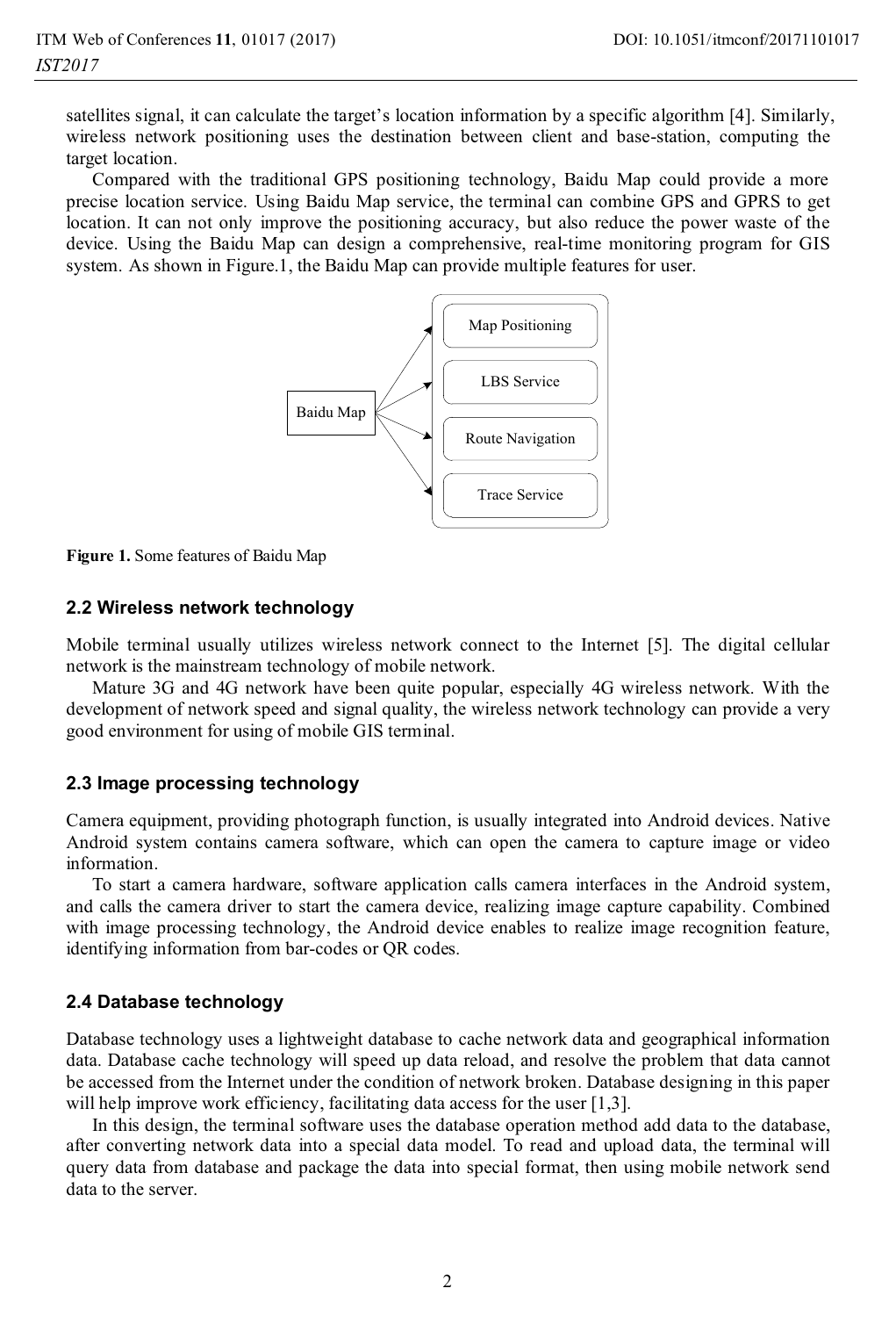satellites signal, it can calculate the target's location information by a specific algorithm [4]. Similarly, wireless network positioning uses the destination between client and base-station, computing the target location.

Compared with the traditional GPS positioning technology, Baidu Map could provide a more precise location service. Using Baidu Map service, the terminal can combine GPS and GPRS to get location. It can not only improve the positioning accuracy, but also reduce the power waste of the device. Using the Baidu Map can design a comprehensive, real-time monitoring program for GIS system. As shown in Figure.1, the Baidu Map can provide multiple features for user.



**Figure 1.** Some features of Baidu Map

#### **2.2 Wireless network technology**

Mobile terminal usually utilizes wireless network connect to the Internet [5]. The digital cellular network is the mainstream technology of mobile network.

Mature 3G and 4G network have been quite popular, especially 4G wireless network. With the development of network speed and signal quality, the wireless network technology can provide a very good environment for using of mobile GIS terminal.

#### **2.3 Image processing technology**

Camera equipment, providing photograph function, is usually integrated into Android devices. Native Android system contains camera software, which can open the camera to capture image or video information.

To start a camera hardware, software application calls camera interfaces in the Android system, and calls the camera driver to start the camera device, realizing image capture capability. Combined with image processing technology, the Android device enables to realize image recognition feature, identifying information from bar-codes or QR codes.

#### **2.4 Database technology**

Database technology uses a lightweight database to cache network data and geographical information data. Database cache technology will speed up data reload, and resolve the problem that data cannot be accessed from the Internet under the condition of network broken. Database designing in this paper will help improve work efficiency, facilitating data access for the user [1,3].

In this design, the terminal software uses the database operation method add data to the database, after converting network data into a special data model. To read and upload data, the terminal will query data from database and package the data into special format, then using mobile network send data to the server.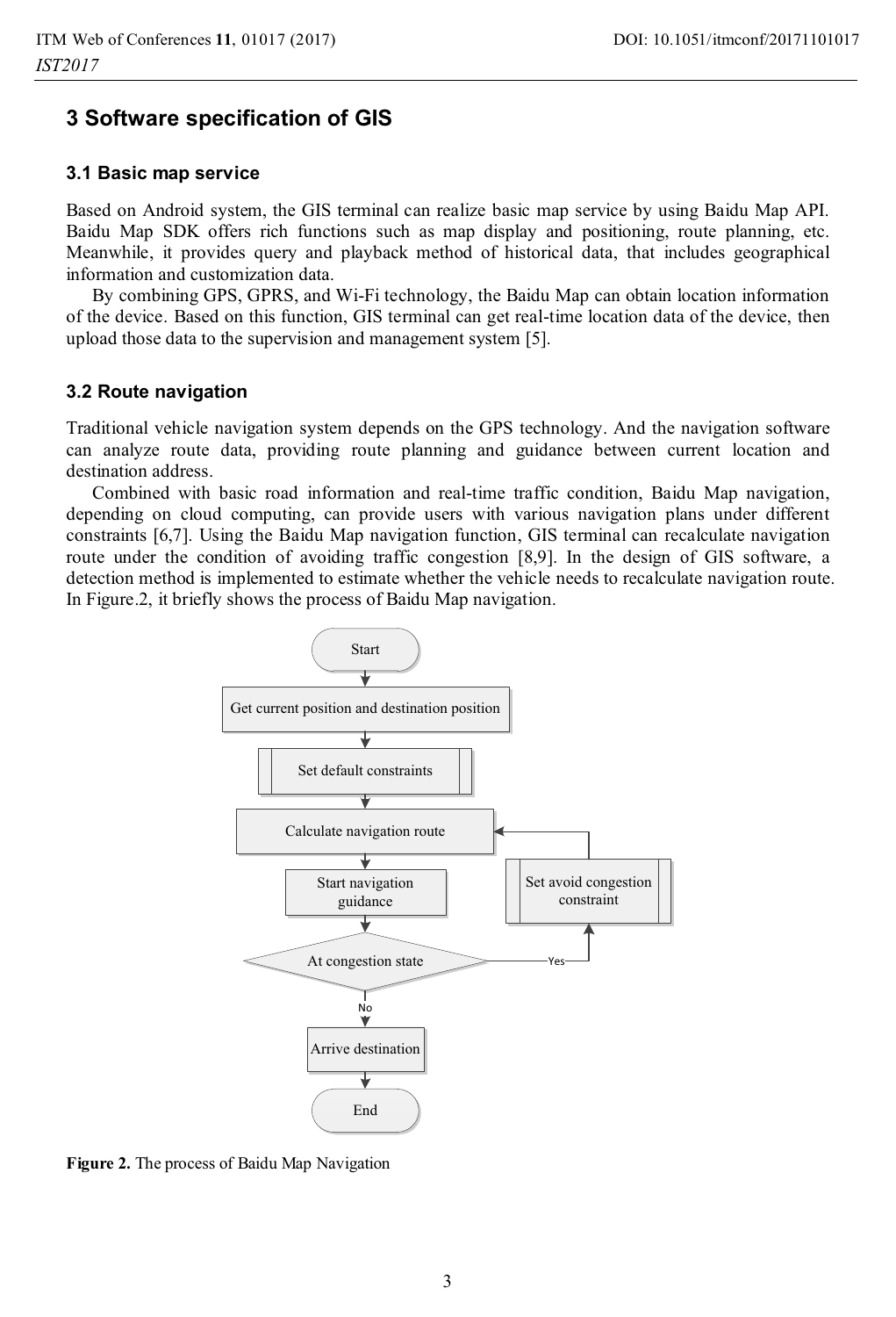### **3 Software specification of GIS**

#### **3.1 Basic map service**

Based on Android system, the GIS terminal can realize basic map service by using Baidu Map API. Baidu Map SDK offers rich functions such as map display and positioning, route planning, etc. Meanwhile, it provides query and playback method of historical data, that includes geographical information and customization data.

By combining GPS, GPRS, and Wi-Fi technology, the Baidu Map can obtain location information of the device. Based on this function, GIS terminal can get real-time location data of the device, then upload those data to the supervision and management system [5].

#### **3.2 Route navigation**

Traditional vehicle navigation system depends on the GPS technology. And the navigation software can analyze route data, providing route planning and guidance between current location and destination address.

Combined with basic road information and real-time traffic condition, Baidu Map navigation, depending on cloud computing, can provide users with various navigation plans under different constraints [6,7]. Using the Baidu Map navigation function, GIS terminal can recalculate navigation route under the condition of avoiding traffic congestion [8,9]. In the design of GIS software, a detection method is implemented to estimate whether the vehicle needs to recalculate navigation route. In Figure.2, it briefly shows the process of Baidu Map navigation.



**Figure 2.** The process of Baidu Map Navigation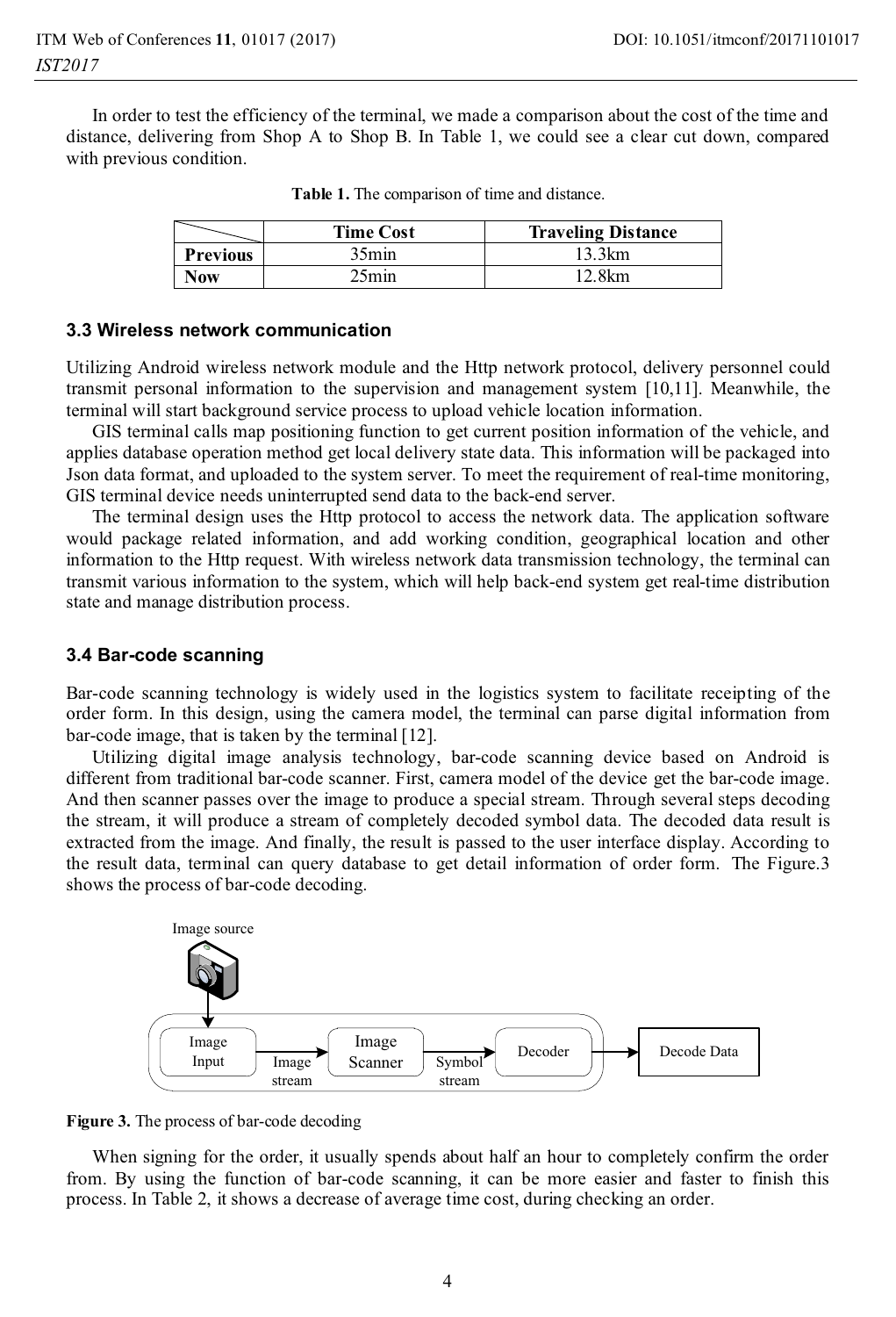In order to test the efficiency of the terminal, we made a comparison about the cost of the time and distance, delivering from Shop A to Shop B. In Table 1, we could see a clear cut down, compared with previous condition.

|                 | <b>Time Cost</b> | <b>Traveling Distance</b> |
|-----------------|------------------|---------------------------|
| <b>Previous</b> | $35\text{min}$   | 13.3km                    |
| Now             | `5min            | 12.8km                    |

#### **3.3 Wireless network communication**

Utilizing Android wireless network module and the Http network protocol, delivery personnel could transmit personal information to the supervision and management system [10,11]. Meanwhile, the terminal will start background service process to upload vehicle location information.

GIS terminal calls map positioning function to get current position information of the vehicle, and applies database operation method get local delivery state data. This information will be packaged into Json data format, and uploaded to the system server. To meet the requirement of real-time monitoring, GIS terminal device needs uninterrupted send data to the back-end server.

The terminal design uses the Http protocol to access the network data. The application software would package related information, and add working condition, geographical location and other information to the Http request. With wireless network data transmission technology, the terminal can transmit various information to the system, which will help back-end system get real-time distribution state and manage distribution process.

#### **3.4 Bar-code scanning**

Bar-code scanning technology is widely used in the logistics system to facilitate receipting of the order form. In this design, using the camera model, the terminal can parse digital information from bar-code image, that is taken by the terminal [12].

Utilizing digital image analysis technology, bar-code scanning device based on Android is different from traditional bar-code scanner. First, camera model of the device get the bar-code image. And then scanner passes over the image to produce a special stream. Through several steps decoding the stream, it will produce a stream of completely decoded symbol data. The decoded data result is extracted from the image. And finally, the result is passed to the user interface display. According to the result data, terminal can query database to get detail information of order form. The Figure.3 shows the process of bar-code decoding.





When signing for the order, it usually spends about half an hour to completely confirm the order from. By using the function of bar-code scanning, it can be more easier and faster to finish this process. In Table 2, it shows a decrease of average time cost, during checking an order.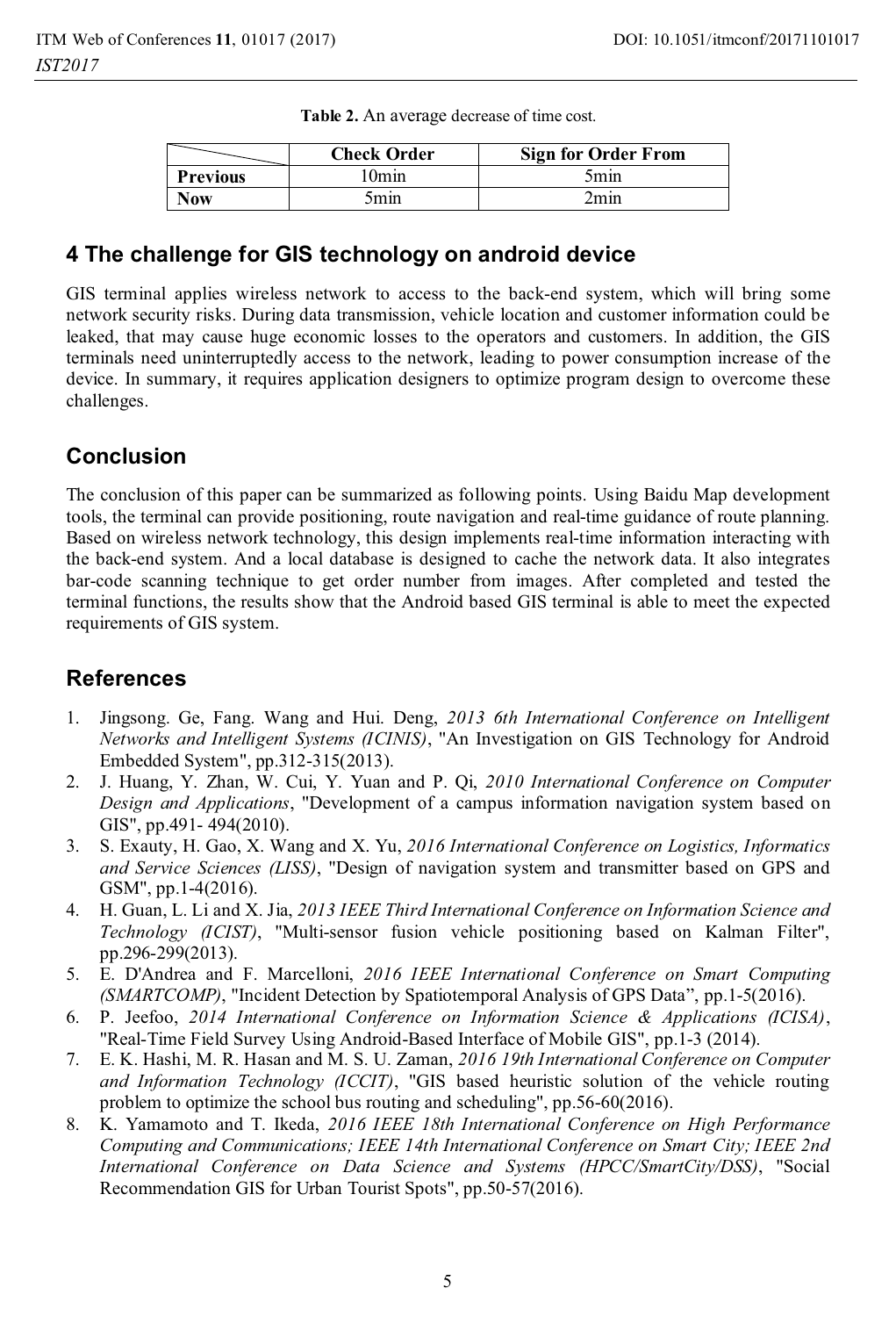|                 | <b>Check Order</b> | <b>Sign for Order From</b> |
|-----------------|--------------------|----------------------------|
| <b>Previous</b> | ' Omin             | 5min                       |
| Now             | mın                | 2min                       |

**Table 2.** An average decrease of time cost.

### **4 The challenge for GIS technology on android device**

GIS terminal applies wireless network to access to the back-end system, which will bring some network security risks. During data transmission, vehicle location and customer information could be leaked, that may cause huge economic losses to the operators and customers. In addition, the GIS terminals need uninterruptedly access to the network, leading to power consumption increase of the device. In summary, it requires application designers to optimize program design to overcome these challenges.

# **Conclusion**

The conclusion of this paper can be summarized as following points. Using Baidu Map development tools, the terminal can provide positioning, route navigation and real-time guidance of route planning. Based on wireless network technology, this design implements real-time information interacting with the back-end system. And a local database is designed to cache the network data. It also integrates bar-code scanning technique to get order number from images. After completed and tested the terminal functions, the results show that the Android based GIS terminal is able to meet the expected requirements of GIS system.

## **References**

- 1. Jingsong. Ge, Fang. Wang and Hui. Deng, *2013 6th International Conference on Intelligent Networks and Intelligent Systems (ICINIS)*, "An Investigation on GIS Technology for Android Embedded System", pp.312-315(2013).
- 2. J. Huang, Y. Zhan, W. Cui, Y. Yuan and P. Qi, *2010 International Conference on Computer Design and Applications*, "Development of a campus information navigation system based on GIS", pp.491- 494(2010).
- 3. S. Exauty, H. Gao, X. Wang and X. Yu, *2016 International Conference on Logistics, Informatics and Service Sciences (LISS)*, "Design of navigation system and transmitter based on GPS and GSM", pp.1-4(2016).
- 4. H. Guan, L. Li and X. Jia, *2013 IEEE Third International Conference on Information Science and Technology (ICIST)*, "Multi-sensor fusion vehicle positioning based on Kalman Filter", pp.296-299(2013).
- 5. E. D'Andrea and F. Marcelloni, *2016 IEEE International Conference on Smart Computing (SMARTCOMP)*, "Incident Detection by Spatiotemporal Analysis of GPS Data", pp.1-5(2016).
- 6. P. Jeefoo, *2014 International Conference on Information Science & Applications (ICISA)*, "Real-Time Field Survey Using Android-Based Interface of Mobile GIS", pp.1-3 (2014).
- 7. E. K. Hashi, M. R. Hasan and M. S. U. Zaman, *2016 19th International Conference on Computer and Information Technology (ICCIT)*, "GIS based heuristic solution of the vehicle routing problem to optimize the school bus routing and scheduling", pp.56-60(2016).
- 8. K. Yamamoto and T. Ikeda, *2016 IEEE 18th International Conference on High Performance Computing and Communications; IEEE 14th International Conference on Smart City; IEEE 2nd International Conference on Data Science and Systems (HPCC/SmartCity/DSS)*, "Social Recommendation GIS for Urban Tourist Spots", pp.50-57(2016).